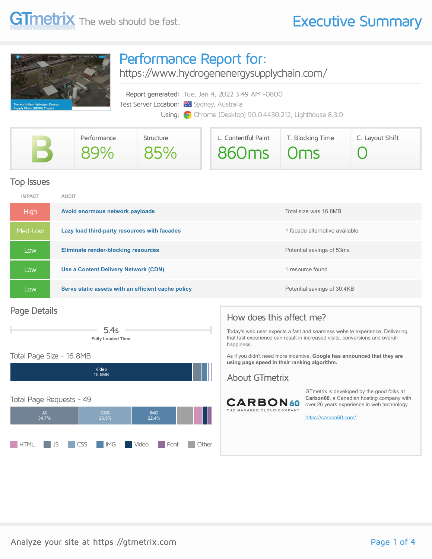

## Performance Report for:

<https://www.hydrogenenergysupplychain.com/>

Report generated: Tue, Jan 4, 2022 3:49 AM -0800 Test Server Location: **We Sydney, Australia** Using: **O** Chrome (Desktop) 90.0.4430.212, Lighthouse 8.3.0

| Performance | Structure | L. Contentful Paint | T. Blocking Time | C. Layout Shift |
|-------------|-----------|---------------------|------------------|-----------------|
| 89%         | 85%       | 860ms Oms           |                  |                 |

## Top Issues

| <b>IMPACT</b> | <b>AUDIT</b>                                       |                                |
|---------------|----------------------------------------------------|--------------------------------|
| <b>High</b>   | Avoid enormous network payloads                    | Total size was 16.8MB          |
| Med-Low       | Lazy load third-party resources with facades       | 1 facade alternative available |
| Low           | <b>Eliminate render-blocking resources</b>         | Potential savings of 53ms      |
| Low           | <b>Use a Content Delivery Network (CDN)</b>        | 1 resource found               |
| Low           | Serve static assets with an efficient cache policy | Potential savings of 30.4KB    |

### Page Details



### Total Page Size - 16.8MB



## How does this affect me?

Today's web user expects a fast and seamless website experience. Delivering that fast experience can result in increased visits, conversions and overall happiness.

As if you didn't need more incentive, **Google has announced that they are using page speed in their ranking algorithm.**

### About GTmetrix



GTmetrix is developed by the good folks at **Carbon60**, a Canadian hosting company with over 26 years experience in web technology.

<https://carbon60.com/>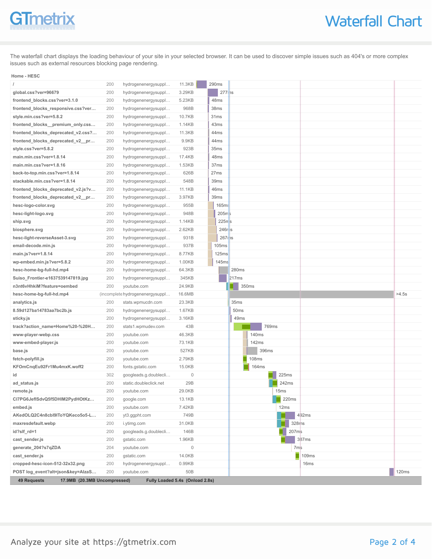# GTmetrix

The waterfall chart displays the loading behaviour of your site in your selected browser. It can be used to discover simple issues such as 404's or more complex issues such as external resources blocking page rendering.

#### **Home - HESC**

|                                    | 200 | hydrogenenergysuppl             | 11.3KB | 290ms               |                  |       |              |
|------------------------------------|-----|---------------------------------|--------|---------------------|------------------|-------|--------------|
| global.css?ver=96679               | 200 | hydrogenenergysuppl             | 3.29KB | $277$ is            |                  |       |              |
| frontend_blocks.css?ver=3.1.0      | 200 | hydrogenenergysuppl             | 5.23KB | 48ms                |                  |       |              |
| frontend_blocks_responsive.css?ver | 200 | hydrogenenergysuppl             | 968B   | 38ms                |                  |       |              |
| style.min.css?ver=5.8.2            | 200 | hydrogenenergysuppl             | 10.7KB | 31ms                |                  |       |              |
| frontend_blocks_premium_only.css   | 200 | hydrogenenergysuppl             | 1.14KB | 43ms                |                  |       |              |
| frontend_blocks_deprecated_v2.css? | 200 | hydrogenenergysuppl             | 11.3KB | 44ms                |                  |       |              |
| frontend_blocks_deprecated_v2_pr   | 200 | hydrogenenergysuppl             | 9.9KB  | 44ms                |                  |       |              |
| style.css?ver=5.8.2                | 200 | hydrogenenergysuppl             | 923B   | 35 <sub>ms</sub>    |                  |       |              |
| main.min.css?ver=1.8.14            | 200 | hydrogenenergysuppl             | 17.4KB | 48ms                |                  |       |              |
| main.min.css?ver=1.8.16            | 200 | hydrogenenergysuppl             | 1.53KB | 37ms                |                  |       |              |
| back-to-top.min.css?ver=1.8.14     | 200 | hydrogenenergysuppl             | 626B   | 27ms                |                  |       |              |
| stackable.min.css?ver=1.8.14       | 200 | hydrogenenergysuppl             | 548B   | 39ms                |                  |       |              |
| frontend_blocks_deprecated_v2.js?v | 200 | hydrogenenergysuppl             | 11.1KB | 46ms                |                  |       |              |
| frontend_blocks_deprecated_v2_pr   | 200 | hydrogenenergysuppl             | 3.97KB | 39ms                |                  |       |              |
| hesc-logo-color.svg                | 200 | hydrogenenergysuppl             | 955B   | 165ms               |                  |       |              |
| hesc-light-logo.svg                | 200 | hydrogenenergysuppl             | 948B   | 205m                |                  |       |              |
| ship.svg                           | 200 | hydrogenenergysuppl             | 1.14KB | $225π$ s            |                  |       |              |
| biosphere.svg                      | 200 | hydrogenenergysuppl             | 2.62KB | $246r$ <sub>s</sub> |                  |       |              |
| hesc-light-reverseAsset-3.svg      | 200 | hydrogenenergysuppl             | 931B   | $267$ ris           |                  |       |              |
| email-decode.min.js                | 200 | hydrogenenergysuppl             | 937B   | 105ms               |                  |       |              |
| main.js?ver=1.8.14                 | 200 | hydrogenenergysuppl             | 8.77KB | 125ms               |                  |       |              |
| wp-embed.min.js?ver=5.8.2          | 200 | hydrogenenergysuppl             | 1.00KB | 145 <sub>ms</sub>   |                  |       |              |
| hesc-home-bg-full-hd.mp4           | 200 | hydrogenenergysuppl             | 64.3KB |                     | 280ms            |       |              |
| Suiso_Frontier-e1637539147819.jpg  | 200 | hydrogenenergysuppl             | 345KB  |                     | 217ms            |       |              |
|                                    |     |                                 |        |                     |                  |       |              |
| n3nt6vHhkiM?feature=oembed         | 200 | youtube.com                     | 24.9KB |                     | 350ms<br>- 1     |       |              |
| hesc-home-bg-full-hd.mp4           |     | (incomplete hydrogenenergysuppl | 16.6MB |                     |                  |       | >4.5s        |
| analytics.js                       | 200 | stats.wpmucdn.com               | 23.3KB |                     | 35 <sub>ms</sub> |       |              |
| 8.59d127ba14783aa7bc2b.js          | 200 | hydrogenenergysuppl             | 1.67KB |                     | 50 <sub>ms</sub> |       |              |
| sticky.js                          | 200 | hydrogenenergysuppl             | 3.16KB |                     | 49ms             |       |              |
| track?action_name=Home%20-%20H     | 200 | stats1.wpmudev.com              | 43B    |                     | 769ms            |       |              |
| www-player-webp.css                | 200 | youtube.com                     | 46.3KB |                     | 140ms            |       |              |
| www-embed-player.js                | 200 | youtube.com                     | 73.1KB |                     | 142ms            |       |              |
| base.js                            | 200 | youtube.com                     | 527KB  |                     | 396ms            |       |              |
| fetch-polyfill.js                  | 200 | youtube.com                     | 2.79KB |                     | <b>108ms</b>     |       |              |
| KFOmCnqEu92Fr1Mu4mxK.woff2         | 200 | fonts.gstatic.com               | 15.0KB |                     | 164ms            |       |              |
| id                                 | 302 | googleads.g.doublecli           | 0      |                     | 225ms            |       |              |
| ad_status.js                       | 200 | static.doubleclick.net          | 29B    |                     | 242ms            |       |              |
| remote.js                          | 200 | youtube.com                     | 29.0KB |                     | 15ms             |       |              |
| Cl7PG6JeflSdvQ5f5DHIM2PydHOtKz…    | 200 | google.com                      | 13.1KB |                     | 220ms            |       |              |
| embed.js                           | 200 | youtube.com                     | 7.42KB |                     | 12ms             |       |              |
| AKedOLQ2C4n8cbl9lToYQKeco5o5-L     | 200 | yt3.ggpht.com                   | 749B   |                     |                  | 492ms |              |
| maxresdefault.webp                 | 200 | i.ytimg.com                     | 31.0KB |                     | 328ms            |       |              |
| id?slf_rd=1                        | 200 | googleads.g.doublecli           | 146B   |                     | 207ms            |       |              |
| cast_sender.js                     | 200 | qstatic.com                     | 1.96KB |                     |                  | 387ms |              |
| generate_204?s7qZDA                | 204 | youtube.com                     | 0      |                     | 7 <sub>ms</sub>  |       |              |
| cast_sender.js                     | 200 | gstatic.com                     | 14.0KB |                     |                  | 109ms |              |
| cropped-hesc-icon-512-32x32.png    | 200 | hydrogenenergysuppl             | 0.99KB |                     |                  | 16ms  |              |
| POST log_event?alt=json&key=AlzaS  | 200 | youtube.com                     | 50B    |                     |                  |       | <b>120ms</b> |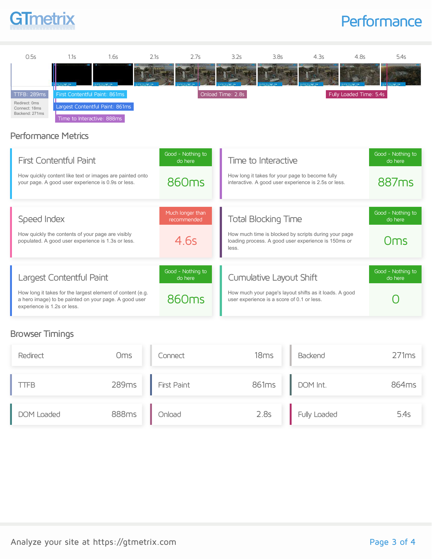# **GTmetrix**

## **Performance**



## Performance Metrics

| <b>First Contentful Paint</b><br>How quickly content like text or images are painted onto<br>your page. A good user experience is 0.9s or less.                                | Good - Nothing to<br>do here<br>860 <sub>ms</sub> | Time to Interactive<br>How long it takes for your page to become fully<br>interactive. A good user experience is 2.5s or less.                     | Good - Nothing to<br>do here<br>887 <sub>ms</sub> |
|--------------------------------------------------------------------------------------------------------------------------------------------------------------------------------|---------------------------------------------------|----------------------------------------------------------------------------------------------------------------------------------------------------|---------------------------------------------------|
| Speed Index<br>How quickly the contents of your page are visibly<br>populated. A good user experience is 1.3s or less.                                                         | Much Ionger than<br>recommended<br>4.6s           | <b>Total Blocking Time</b><br>How much time is blocked by scripts during your page<br>loading process. A good user experience is 150ms or<br>less. | Good - Nothing to<br>do here<br>Oms               |
| Largest Contentful Paint<br>How long it takes for the largest element of content (e.g.<br>a hero image) to be painted on your page. A good user<br>experience is 1.2s or less. | Good - Nothing to<br>do here<br>860 <sub>ms</sub> | Cumulative Layout Shift<br>How much your page's layout shifts as it loads. A good<br>user experience is a score of 0.1 or less.                    | Good - Nothing to<br>do here                      |

## Browser Timings

| Redirect   | <b>Oms</b>   | Connect            | 18ms  | Backend      | 271ms |
|------------|--------------|--------------------|-------|--------------|-------|
| TFB        | 289ms        | <b>First Paint</b> | 861ms | DOM Int.     | 864ms |
| DOM Loaded | <b>888ms</b> | Onload             | 2.8s  | Fully Loaded | 5.4s  |